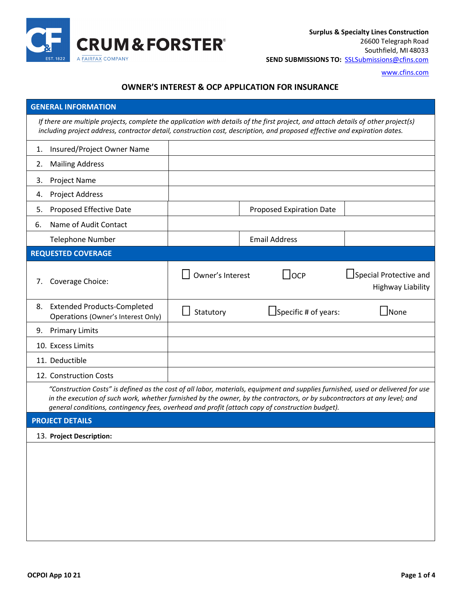

[www.cfins.com](http://www.cfins.com/)

## **OWNER'S INTEREST & OCP APPLICATION FOR INSURANCE**

| <b>GENERAL INFORMATION</b>                                                                                                                                                                                                                                                                                                                                       |                                                                          |                                  |  |                                 |                                                    |  |
|------------------------------------------------------------------------------------------------------------------------------------------------------------------------------------------------------------------------------------------------------------------------------------------------------------------------------------------------------------------|--------------------------------------------------------------------------|----------------------------------|--|---------------------------------|----------------------------------------------------|--|
| If there are multiple projects, complete the application with details of the first project, and attach details of other project(s)<br>including project address, contractor detail, construction cost, description, and proposed effective and expiration dates.                                                                                                 |                                                                          |                                  |  |                                 |                                                    |  |
| 1.                                                                                                                                                                                                                                                                                                                                                               | Insured/Project Owner Name                                               |                                  |  |                                 |                                                    |  |
| 2.                                                                                                                                                                                                                                                                                                                                                               | <b>Mailing Address</b>                                                   |                                  |  |                                 |                                                    |  |
| 3.                                                                                                                                                                                                                                                                                                                                                               | Project Name                                                             |                                  |  |                                 |                                                    |  |
| 4.                                                                                                                                                                                                                                                                                                                                                               | <b>Project Address</b>                                                   |                                  |  |                                 |                                                    |  |
| 5.                                                                                                                                                                                                                                                                                                                                                               | Proposed Effective Date                                                  |                                  |  | <b>Proposed Expiration Date</b> |                                                    |  |
| 6.                                                                                                                                                                                                                                                                                                                                                               | Name of Audit Contact                                                    |                                  |  |                                 |                                                    |  |
|                                                                                                                                                                                                                                                                                                                                                                  | <b>Telephone Number</b>                                                  |                                  |  | <b>Email Address</b>            |                                                    |  |
|                                                                                                                                                                                                                                                                                                                                                                  | <b>REQUESTED COVERAGE</b>                                                |                                  |  |                                 |                                                    |  |
| 7.                                                                                                                                                                                                                                                                                                                                                               | Coverage Choice:                                                         | Owner's Interest<br>$\mathsf{L}$ |  | $\bigcup$ OCP                   | Special Protective and<br><b>Highway Liability</b> |  |
| 8.                                                                                                                                                                                                                                                                                                                                                               | <b>Extended Products-Completed</b><br>Operations (Owner's Interest Only) | Statutory                        |  | $\Box$ Specific # of years:     | l INone                                            |  |
| 9.                                                                                                                                                                                                                                                                                                                                                               | <b>Primary Limits</b>                                                    |                                  |  |                                 |                                                    |  |
|                                                                                                                                                                                                                                                                                                                                                                  | 10. Excess Limits                                                        |                                  |  |                                 |                                                    |  |
|                                                                                                                                                                                                                                                                                                                                                                  | 11. Deductible                                                           |                                  |  |                                 |                                                    |  |
|                                                                                                                                                                                                                                                                                                                                                                  | 12. Construction Costs                                                   |                                  |  |                                 |                                                    |  |
| "Construction Costs" is defined as the cost of all labor, materials, equipment and supplies furnished, used or delivered for use<br>in the execution of such work, whether furnished by the owner, by the contractors, or by subcontractors at any level; and<br>general conditions, contingency fees, overhead and profit (attach copy of construction budget). |                                                                          |                                  |  |                                 |                                                    |  |
|                                                                                                                                                                                                                                                                                                                                                                  | <b>PROJECT DETAILS</b>                                                   |                                  |  |                                 |                                                    |  |
|                                                                                                                                                                                                                                                                                                                                                                  | 13. Project Description:                                                 |                                  |  |                                 |                                                    |  |
|                                                                                                                                                                                                                                                                                                                                                                  |                                                                          |                                  |  |                                 |                                                    |  |
|                                                                                                                                                                                                                                                                                                                                                                  |                                                                          |                                  |  |                                 |                                                    |  |
|                                                                                                                                                                                                                                                                                                                                                                  |                                                                          |                                  |  |                                 |                                                    |  |
|                                                                                                                                                                                                                                                                                                                                                                  |                                                                          |                                  |  |                                 |                                                    |  |
|                                                                                                                                                                                                                                                                                                                                                                  |                                                                          |                                  |  |                                 |                                                    |  |
|                                                                                                                                                                                                                                                                                                                                                                  |                                                                          |                                  |  |                                 |                                                    |  |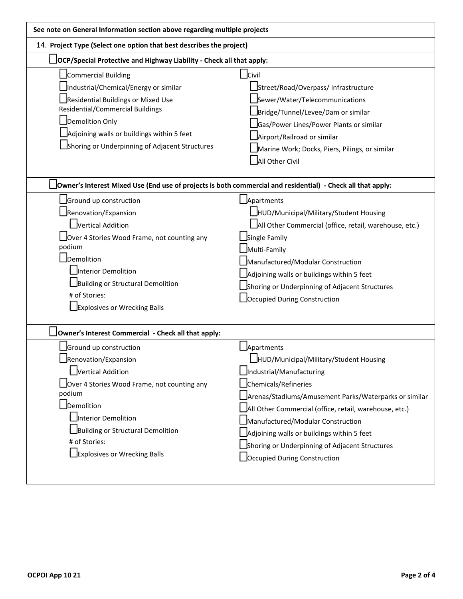| See note on General Information section above regarding multiple projects                                                                                                                                                                                        |                                                                                                                                                                                                                                                                                                                                                                                                  |  |  |  |  |
|------------------------------------------------------------------------------------------------------------------------------------------------------------------------------------------------------------------------------------------------------------------|--------------------------------------------------------------------------------------------------------------------------------------------------------------------------------------------------------------------------------------------------------------------------------------------------------------------------------------------------------------------------------------------------|--|--|--|--|
| 14. Project Type (Select one option that best describes the project)                                                                                                                                                                                             |                                                                                                                                                                                                                                                                                                                                                                                                  |  |  |  |  |
| $\Delta$ OCP/Special Protective and Highway Liability - Check all that apply:                                                                                                                                                                                    |                                                                                                                                                                                                                                                                                                                                                                                                  |  |  |  |  |
| Commercial Building<br>Industrial/Chemical/Energy or similar<br>Residential Buildings or Mixed Use<br><b>Residential/Commercial Buildings</b><br>Demolition Only<br>Adjoining walls or buildings within 5 feet<br>Shoring or Underpinning of Adjacent Structures | $\Box$ Civil<br>Street/Road/Overpass/ Infrastructure<br>Sewer/Water/Telecommunications<br>Bridge/Tunnel/Levee/Dam or similar<br>Gas/Power Lines/Power Plants or similar<br>Airport/Railroad or similar<br>Marine Work; Docks, Piers, Pilings, or similar<br>All Other Civil                                                                                                                      |  |  |  |  |
| JOwner's Interest Mixed Use (End use of projects is both commercial and residential) - Check all that apply:                                                                                                                                                     |                                                                                                                                                                                                                                                                                                                                                                                                  |  |  |  |  |
| Ground up construction<br>Renovation/Expansion<br>Vertical Addition<br>Over 4 Stories Wood Frame, not counting any<br>podium<br>Demolition<br>Interior Demolition<br>Building or Structural Demolition<br># of Stories:<br>Explosives or Wrecking Balls          | Apartments<br>HUD/Municipal/Military/Student Housing<br>All Other Commercial (office, retail, warehouse, etc.)<br>Single Family<br>Multi-Family<br>Manufactured/Modular Construction<br>Adjoining walls or buildings within 5 feet<br>Shoring or Underpinning of Adjacent Structures<br>Occupied During Construction                                                                             |  |  |  |  |
| Owner's Interest Commercial - Check all that apply:                                                                                                                                                                                                              |                                                                                                                                                                                                                                                                                                                                                                                                  |  |  |  |  |
| Ground up construction<br>Renovation/Expansion<br>Vertical Addition<br>Over 4 Stories Wood Frame, not counting any<br>podium<br>Demolition<br>Interior Demolition<br>Building or Structural Demolition<br># of Stories:<br>Explosives or Wrecking Balls          | Apartments<br>HUD/Municipal/Military/Student Housing<br>Industrial/Manufacturing<br>Chemicals/Refineries<br>Arenas/Stadiums/Amusement Parks/Waterparks or similar<br>All Other Commercial (office, retail, warehouse, etc.)<br>Manufactured/Modular Construction<br>Adjoining walls or buildings within 5 feet<br>Shoring or Underpinning of Adjacent Structures<br>Occupied During Construction |  |  |  |  |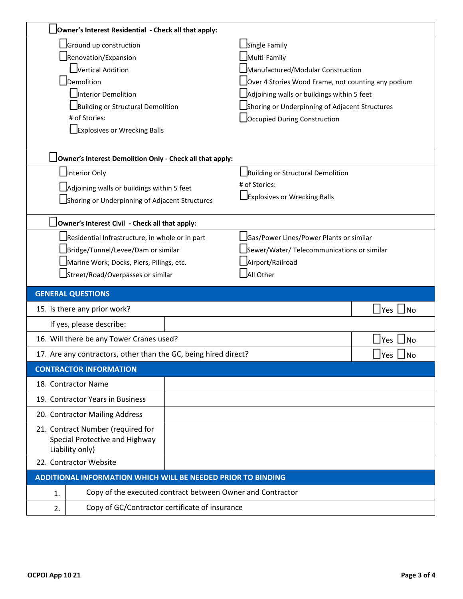|                                                                 | Owner's Interest Residential - Check all that apply:       |                                                    |                                           |  |  |
|-----------------------------------------------------------------|------------------------------------------------------------|----------------------------------------------------|-------------------------------------------|--|--|
| Ground up construction                                          |                                                            | Single Family                                      |                                           |  |  |
| Renovation/Expansion                                            |                                                            | Multi-Family                                       |                                           |  |  |
| Vertical Addition                                               |                                                            | Manufactured/Modular Construction                  |                                           |  |  |
| Demolition                                                      |                                                            | Over 4 Stories Wood Frame, not counting any podium |                                           |  |  |
| Interior Demolition                                             |                                                            | Adjoining walls or buildings within 5 feet         |                                           |  |  |
| Building or Structural Demolition                               |                                                            | Shoring or Underpinning of Adjacent Structures     |                                           |  |  |
| # of Stories:                                                   |                                                            | Occupied During Construction                       |                                           |  |  |
| Explosives or Wrecking Balls                                    |                                                            |                                                    |                                           |  |  |
| Owner's Interest Demolition Only - Check all that apply:        |                                                            |                                                    |                                           |  |  |
| Interior Only                                                   |                                                            | Building or Structural Demolition                  |                                           |  |  |
| Adjoining walls or buildings within 5 feet                      |                                                            | # of Stories:                                      |                                           |  |  |
| Shoring or Underpinning of Adjacent Structures                  |                                                            | Explosives or Wrecking Balls                       |                                           |  |  |
|                                                                 |                                                            |                                                    |                                           |  |  |
| Owner's Interest Civil - Check all that apply:                  |                                                            |                                                    |                                           |  |  |
| Residential Infrastructure, in whole or in part                 |                                                            | Gas/Power Lines/Power Plants or similar            |                                           |  |  |
| Bridge/Tunnel/Levee/Dam or similar                              |                                                            | Sewer/Water/ Telecommunications or similar         |                                           |  |  |
| Marine Work; Docks, Piers, Pilings, etc.                        |                                                            | Airport/Railroad                                   |                                           |  |  |
| Street/Road/Overpasses or similar                               |                                                            | All Other                                          |                                           |  |  |
| <b>GENERAL QUESTIONS</b>                                        |                                                            |                                                    |                                           |  |  |
| 15. Is there any prior work?                                    |                                                            |                                                    | _lYes ∟lNo                                |  |  |
|                                                                 |                                                            |                                                    |                                           |  |  |
| If yes, please describe:                                        |                                                            |                                                    |                                           |  |  |
| 16. Will there be any Tower Cranes used?                        |                                                            |                                                    | $\Box$ Yes<br>$\overline{\phantom{a}}$ No |  |  |
| 17. Are any contractors, other than the GC, being hired direct? |                                                            |                                                    | Yes <br>」No                               |  |  |
| <b>CONTRACTOR INFORMATION</b>                                   |                                                            |                                                    |                                           |  |  |
| 18. Contractor Name                                             |                                                            |                                                    |                                           |  |  |
| 19. Contractor Years in Business                                |                                                            |                                                    |                                           |  |  |
| 20. Contractor Mailing Address                                  |                                                            |                                                    |                                           |  |  |
| 21. Contract Number (required for                               |                                                            |                                                    |                                           |  |  |
| Special Protective and Highway                                  |                                                            |                                                    |                                           |  |  |
| Liability only)<br>22. Contractor Website                       |                                                            |                                                    |                                           |  |  |
| ADDITIONAL INFORMATION WHICH WILL BE NEEDED PRIOR TO BINDING    |                                                            |                                                    |                                           |  |  |
| 1.                                                              | Copy of the executed contract between Owner and Contractor |                                                    |                                           |  |  |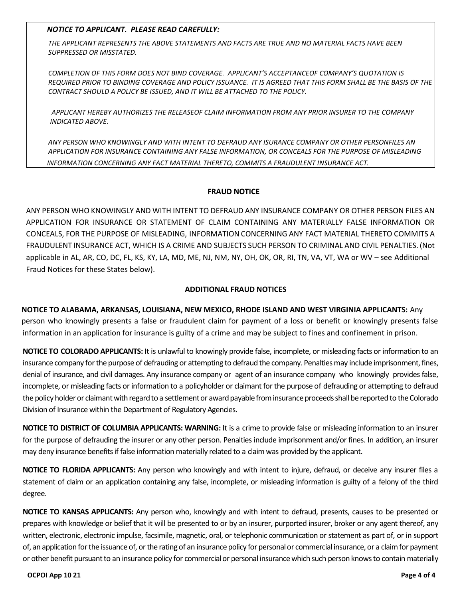*NOTICE TO APPLICANT. PLEASE READ CAREFULLY:*

*THE APPLICANT REPRESENTS THE ABOVE STATEMENTS AND FACTS ARE TRUE AND NO MATERIAL FACTS HAVE BEEN SUPPRESSED OR MISSTATED.*

*COMPLETION OF THIS FORM DOES NOT BIND COVERAGE. APPLICANT'S ACCEPTANCEOF COMPANY'S QUOTATION IS REQUIRED PRIOR TO BINDING COVERAGE AND POLICY ISSUANCE. IT IS AGREED THAT THIS FORM SHALL BE THE BASIS OF THE CONTRACT SHOULD A POLICY BE ISSUED, AND IT WILL BE ATTACHED TO THE POLICY.*

*APPLICANT HEREBY AUTHORIZES THE RELEASEOF CLAIM INFORMATION FROM ANY PRIOR INSURER TO THE COMPANY INDICATED ABOVE.*

*ANY PERSON WHO KNOWINGLY AND WITH INTENT TO DEFRAUD ANY ISURANCE COMPANY OR OTHER PERSONFILES AN APPLICATION FOR INSURANCE CONTAINING ANY FALSE INFORMATION, OR CONCEALS FOR THE PURPOSE OF MISLEADING INFORMATION CONCERNING ANY FACT MATERIAL THERETO, COMMITS A FRAUDULENT INSURANCE ACT.*

## **FRAUD NOTICE**

ANY PERSON WHO KNOWINGLY AND WITH INTENT TO DEFRAUD ANY INSURANCE COMPANY OR OTHER PERSON FILES AN APPLICATION FOR INSURANCE OR STATEMENT OF CLAIM CONTAINING ANY MATERIALLY FALSE INFORMATION OR CONCEALS, FOR THE PURPOSE OF MISLEADING, INFORMATION CONCERNING ANY FACT MATERIAL THERETO COMMITS A FRAUDULENT INSURANCE ACT, WHICH IS A CRIME AND SUBJECTS SUCH PERSON TO CRIMINAL AND CIVIL PENALTIES. (Not applicable in AL, AR, CO, DC, FL, KS, KY, LA, MD, ME, NJ, NM, NY, OH, OK, OR, RI, TN, VA, VT, WA or WV – see Additional Fraud Notices for these States below).

## **ADDITIONAL FRAUD NOTICES**

**NOTICE TO ALABAMA, ARKANSAS, LOUISIANA, NEW MEXICO, RHODE ISLAND AND WEST VIRGINIA APPLICANTS:** Any person who knowingly presents a false or fraudulent claim for payment of a loss or benefit or knowingly presents false information in an application for insurance is guilty of a crime and may be subject to fines and confinement in prison.

**NOTICE TO COLORADO APPLICANTS:** It is unlawful to knowingly provide false, incomplete, or misleading facts or information to an insurance company for the purpose of defrauding or attempting to defraud the company. Penalties may include imprisonment, fines, denial of insurance, and civil damages. Any insurance company or agent of an insurance company who knowingly provides false, incomplete, or misleading facts or information to a policyholder or claimant for the purpose of defrauding or attempting to defraud the policy holder or claimant with regard to a settlement or award payable from insurance proceeds shall be reported to the Colorado Division of Insurance within the Department of Regulatory Agencies.

**NOTICE TO DISTRICT OF COLUMBIA APPLICANTS: WARNING:** It is a crime to provide false or misleading information to an insurer for the purpose of defrauding the insurer or any other person. Penalties include imprisonment and/or fines. In addition, an insurer may deny insurance benefits if false information materially related to a claim was provided by the applicant.

**NOTICE TO FLORIDA APPLICANTS:** Any person who knowingly and with intent to injure, defraud, or deceive any insurer files a statement of claim or an application containing any false, incomplete, or misleading information is guilty of a felony of the third degree.

**NOTICE TO KANSAS APPLICANTS:** Any person who, knowingly and with intent to defraud, presents, causes to be presented or prepares with knowledge or belief that it will be presented to or by an insurer, purported insurer, broker or any agent thereof, any written, electronic, electronic impulse, facsimile, magnetic, oral, or telephonic communication or statement as part of, or in support of, an application for the issuance of, or the rating of an insurance policy for personal or commercial insurance, or a claim for payment or other benefit pursuant to an insurance policy for commercial or personal insurance which such person knows to contain materially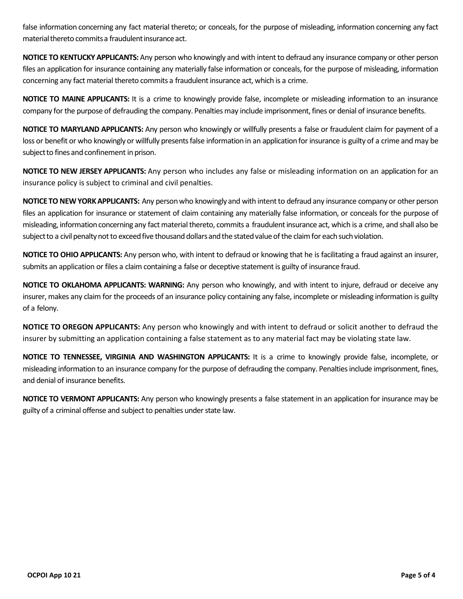false information concerning any fact material thereto; or conceals, for the purpose of misleading, information concerning any fact material thereto commits a fraudulent insurance act.

**NOTICE TO KENTUCKY APPLICANTS:** Any person who knowingly and with intent to defraud any insurance company or other person files an application for insurance containing any materially false information or conceals, for the purpose of misleading, information concerning any fact material thereto commits a fraudulent insurance act, which is a crime.

**NOTICE TO MAINE APPLICANTS:** It is a crime to knowingly provide false, incomplete or misleading information to an insurance company for the purpose of defrauding the company. Penalties may include imprisonment, fines or denial of insurance benefits.

**NOTICE TO MARYLAND APPLICANTS:** Any person who knowingly or willfully presents a false or fraudulent claim for payment of a loss or benefit or who knowingly or willfully presents false information in an application for insurance is guilty of a crime and may be subject to fines and confinement in prison.

**NOTICE TO NEW JERSEY APPLICANTS:** Any person who includes any false or misleading information on an application for an insurance policy is subject to criminal and civil penalties.

**NOTICE TO NEW YORK APPLICANTS:** Any person who knowingly and with intent to defraud any insurance company or other person files an application for insurance or statement of claim containing any materially false information, or conceals for the purpose of misleading, information concerning any fact material thereto, commits a fraudulent insurance act, which is a crime, and shall also be subject to a civil penalty not to exceed five thousand dollars and the stated value of the claim for each such violation.

**NOTICE TO OHIO APPLICANTS:** Any person who, with intent to defraud or knowing that he is facilitating a fraud against an insurer, submits an application or files a claim containing a false or deceptive statement is guilty of insurance fraud.

**NOTICE TO OKLAHOMA APPLICANTS: WARNING:** Any person who knowingly, and with intent to injure, defraud or deceive any insurer, makes any claim for the proceeds of an insurance policy containing any false, incomplete or misleading information is guilty of a felony.

**NOTICE TO OREGON APPLICANTS:** Any person who knowingly and with intent to defraud or solicit another to defraud the insurer by submitting an application containing a false statement as to any material fact may be violating state law.

**NOTICE TO TENNESSEE, VIRGINIA AND WASHINGTON APPLICANTS:** It is a crime to knowingly provide false, incomplete, or misleading information to an insurance company for the purpose of defrauding the company. Penalties include imprisonment, fines, and denial of insurance benefits.

**NOTICE TO VERMONT APPLICANTS:** Any person who knowingly presents a false statement in an application for insurance may be guilty of a criminal offense and subject to penalties under state law.